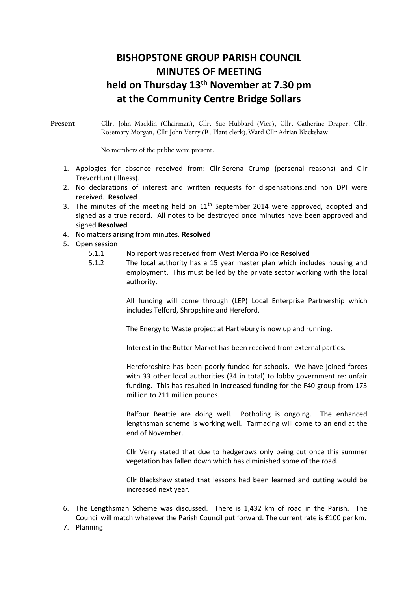## **BISHOPSTONE GROUP PARISH COUNCIL MINUTES OF MEETING held on Thursday 13 th November at 7.30 pm at the Community Centre Bridge Sollars**

**Present** Cllr. John Macklin (Chairman), Cllr. Sue Hubbard (Vice), Cllr. Catherine Draper, Cllr. Rosemary Morgan, Cllr John Verry (R. Plant clerk).Ward Cllr Adrian Blackshaw.

No members of the public were present.

- 1. Apologies for absence received from: Cllr.Serena Crump (personal reasons) and Cllr TrevorHunt (illness).
- 2. No declarations of interest and written requests for dispensations.and non DPI were received. **Resolved**
- 3. The minutes of the meeting held on  $11<sup>th</sup>$  September 2014 were approved, adopted and signed as a true record. All notes to be destroyed once minutes have been approved and signed.**Resolved**
- 4. No matters arising from minutes. **Resolved**
- 5. Open session
	- 5.1.1 No report was received from West Mercia Police **Resolved**
	- 5.1.2 The local authority has a 15 year master plan which includes housing and employment. This must be led by the private sector working with the local authority.

All funding will come through (LEP) Local Enterprise Partnership which includes Telford, Shropshire and Hereford.

The Energy to Waste project at Hartlebury is now up and running.

Interest in the Butter Market has been received from external parties.

Herefordshire has been poorly funded for schools. We have joined forces with 33 other local authorities (34 in total) to lobby government re: unfair funding. This has resulted in increased funding for the F40 group from 173 million to 211 million pounds.

Balfour Beattie are doing well. Potholing is ongoing. The enhanced lengthsman scheme is working well. Tarmacing will come to an end at the end of November.

Cllr Verry stated that due to hedgerows only being cut once this summer vegetation has fallen down which has diminished some of the road.

Cllr Blackshaw stated that lessons had been learned and cutting would be increased next year.

- 6. The Lengthsman Scheme was discussed. There is 1,432 km of road in the Parish. The Council will match whatever the Parish Council put forward. The current rate is £100 per km.
- 7. Planning